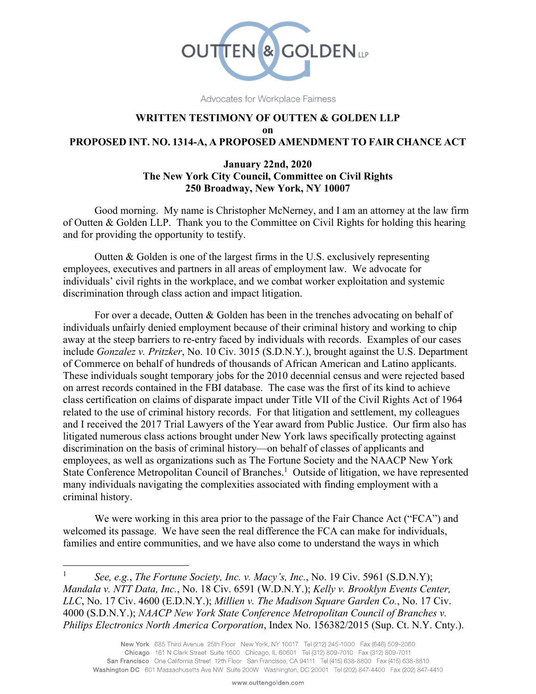

Advocates for Workplace Fairness

#### **WRITTEN TESTIMONY OF OUTTEN & GOLDEN LLP on PROPOSED INT. NO. 1314-A, A PROPOSED AMENDMENT TO FAIR CHANCE ACT**

#### **January 22nd, 2020 The New York City Council, Committee on Civil Rights 250 Broadway, New York, NY 10007**

Good morning. My name is Christopher McNerney, and I am an attorney at the law firm of Outten & Golden LLP. Thank you to the Committee on Civil Rights for holding this hearing and for providing the opportunity to testify.

Outten & Golden is one of the largest firms in the U.S. exclusively representing employees, executives and partners in all areas of employment law. We advocate for individuals' civil rights in the workplace, and we combat worker exploitation and systemic discrimination through class action and impact litigation.

For over a decade, Outten & Golden has been in the trenches advocating on behalf of individuals unfairly denied employment because of their criminal history and working to chip away at the steep barriers to re-entry faced by individuals with records. Examples of our cases include *Gonzalez v. Pritzker*, No. 10 Civ. 3015 (S.D.N.Y.), brought against the U.S. Department of Commerce on behalf of hundreds of thousands of African American and Latino applicants. These individuals sought temporary jobs for the 2010 decennial census and were rejected based on arrest records contained in the FBI database. The case was the first of its kind to achieve class certification on claims of disparate impact under Title VII of the Civil Rights Act of 1964 related to the use of criminal history records. For that litigation and settlement, my colleagues and I received the 2017 Trial Lawyers of the Year award from Public Justice. Our firm also has litigated numerous class actions brought under New York laws specifically protecting against discrimination on the basis of criminal history—on behalf of classes of applicants and employees, as well as organizations such as The Fortune Society and the NAACP New York State Conference Metropolitan Council of Branches.<sup>1</sup> Outside of litigation, we have represented many individuals navigating the complexities associated with finding employment with a criminal history.

We were working in this area prior to the passage of the Fair Chance Act ("FCA") and welcomed its passage. We have seen the real difference the FCA can make for individuals, families and entire communities, and we have also come to understand the ways in which

1

<sup>1</sup> *See, e.g.*, *The Fortune Society, Inc. v. Macy's, Inc.*, No. 19 Civ. 5961 (S.D.N.Y); *Mandala v. NTT Data, Inc.*, No. 18 Civ. 6591 (W.D.N.Y.); *Kelly v. Brooklyn Events Center, LLC*, No. 17 Civ. 4600 (E.D.N.Y.); *Millien v. The Madison Square Garden Co.*, No. 17 Civ. 4000 (S.D.N.Y.); *NAACP New York State Conference Metropolitan Council of Branches v. Philips Electronics North America Corporation*, Index No. 156382/2015 (Sup. Ct. N.Y. Cnty.).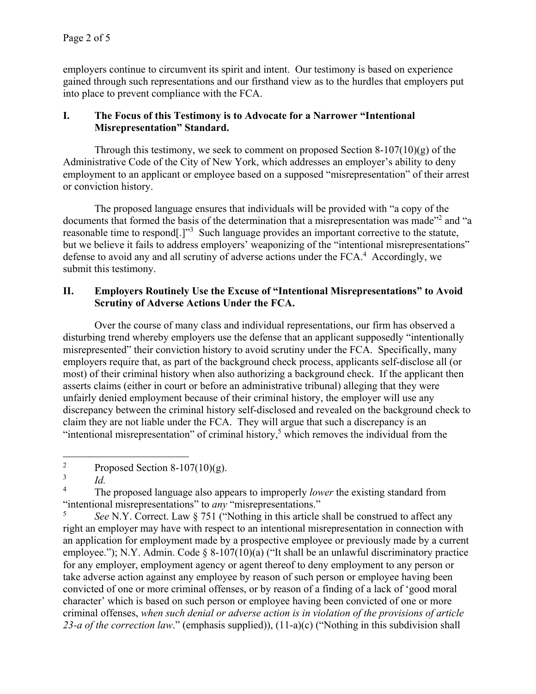employers continue to circumvent its spirit and intent. Our testimony is based on experience gained through such representations and our firsthand view as to the hurdles that employers put into place to prevent compliance with the FCA.

### **I. The Focus of this Testimony is to Advocate for a Narrower "Intentional Misrepresentation" Standard.**

Through this testimony, we seek to comment on proposed Section  $8-107(10)(g)$  of the Administrative Code of the City of New York, which addresses an employer's ability to deny employment to an applicant or employee based on a supposed "misrepresentation" of their arrest or conviction history.

The proposed language ensures that individuals will be provided with "a copy of the documents that formed the basis of the determination that a misrepresentation was made"<sup>2</sup> and "a reasonable time to respond<sup>[1,1,3</sup> Such language provides an important corrective to the statute, but we believe it fails to address employers' weaponizing of the "intentional misrepresentations" defense to avoid any and all scrutiny of adverse actions under the  $FCA<sup>4</sup>$  Accordingly, we submit this testimony.

### **II. Employers Routinely Use the Excuse of "Intentional Misrepresentations" to Avoid Scrutiny of Adverse Actions Under the FCA.**

Over the course of many class and individual representations, our firm has observed a disturbing trend whereby employers use the defense that an applicant supposedly "intentionally misrepresented" their conviction history to avoid scrutiny under the FCA. Specifically, many employers require that, as part of the background check process, applicants self-disclose all (or most) of their criminal history when also authorizing a background check. If the applicant then asserts claims (either in court or before an administrative tribunal) alleging that they were unfairly denied employment because of their criminal history, the employer will use any discrepancy between the criminal history self-disclosed and revealed on the background check to claim they are not liable under the FCA. They will argue that such a discrepancy is an "intentional misrepresentation" of criminal history,<sup>5</sup> which removes the individual from the

4 The proposed language also appears to improperly *lower* the existing standard from "intentional misrepresentations" to *any* "misrepresentations."

5 *See* N.Y. Correct. Law § 751 ("Nothing in this article shall be construed to affect any right an employer may have with respect to an intentional misrepresentation in connection with an application for employment made by a prospective employee or previously made by a current employee."); N.Y. Admin. Code § 8-107(10)(a) ("It shall be an unlawful discriminatory practice for any employer, employment agency or agent thereof to deny employment to any person or take adverse action against any employee by reason of such person or employee having been convicted of one or more criminal offenses, or by reason of a finding of a lack of 'good moral character' which is based on such person or employee having been convicted of one or more criminal offenses, *when such denial or adverse action is in violation of the provisions of article 23-a of the correction law*." (emphasis supplied)), (11-a)(c) ("Nothing in this subdivision shall

 $\overline{a}$ 2 Proposed Section  $8-107(10)(g)$ .

<sup>3</sup> *Id.*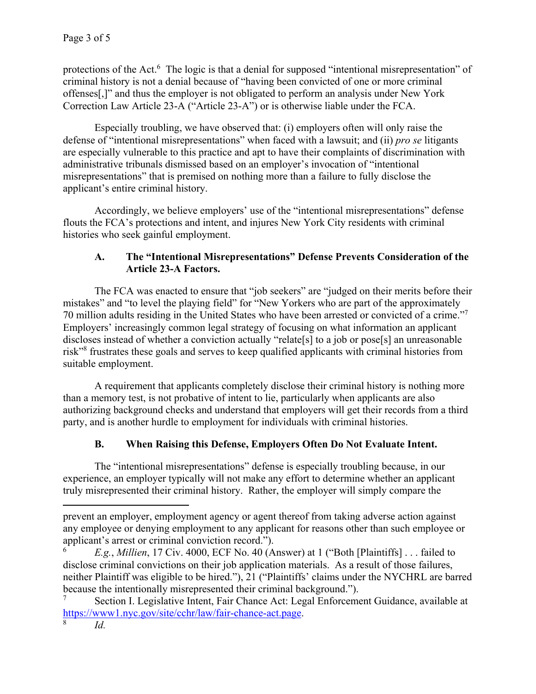protections of the Act.<sup>6</sup> The logic is that a denial for supposed "intentional misrepresentation" of criminal history is not a denial because of "having been convicted of one or more criminal offenses[,]" and thus the employer is not obligated to perform an analysis under New York Correction Law Article 23-A ("Article 23-A") or is otherwise liable under the FCA.

Especially troubling, we have observed that: (i) employers often will only raise the defense of "intentional misrepresentations" when faced with a lawsuit; and (ii) *pro se* litigants are especially vulnerable to this practice and apt to have their complaints of discrimination with administrative tribunals dismissed based on an employer's invocation of "intentional misrepresentations" that is premised on nothing more than a failure to fully disclose the applicant's entire criminal history.

Accordingly, we believe employers' use of the "intentional misrepresentations" defense flouts the FCA's protections and intent, and injures New York City residents with criminal histories who seek gainful employment.

## **A. The "Intentional Misrepresentations" Defense Prevents Consideration of the Article 23-A Factors.**

The FCA was enacted to ensure that "job seekers" are "judged on their merits before their mistakes" and "to level the playing field" for "New Yorkers who are part of the approximately 70 million adults residing in the United States who have been arrested or convicted of a crime."7 Employers' increasingly common legal strategy of focusing on what information an applicant discloses instead of whether a conviction actually "relate<sup>[s]</sup> to a job or pose<sup>[s]</sup> an unreasonable risk"8 frustrates these goals and serves to keep qualified applicants with criminal histories from suitable employment.

A requirement that applicants completely disclose their criminal history is nothing more than a memory test, is not probative of intent to lie, particularly when applicants are also authorizing background checks and understand that employers will get their records from a third party, and is another hurdle to employment for individuals with criminal histories.

# **B. When Raising this Defense, Employers Often Do Not Evaluate Intent.**

The "intentional misrepresentations" defense is especially troubling because, in our experience, an employer typically will not make any effort to determine whether an applicant truly misrepresented their criminal history. Rather, the employer will simply compare the

 $\overline{a}$ 

prevent an employer, employment agency or agent thereof from taking adverse action against any employee or denying employment to any applicant for reasons other than such employee or applicant's arrest or criminal conviction record.").

<sup>6</sup> *E.g.*, *Millien*, 17 Civ. 4000, ECF No. 40 (Answer) at 1 ("Both [Plaintiffs] . . . failed to disclose criminal convictions on their job application materials. As a result of those failures, neither Plaintiff was eligible to be hired."), 21 ("Plaintiffs' claims under the NYCHRL are barred because the intentionally misrepresented their criminal background.").

<sup>7</sup> Section I. Legislative Intent, Fair Chance Act: Legal Enforcement Guidance, available at https://www1.nyc.gov/site/cchr/law/fair-chance-act.page. 8

*Id.*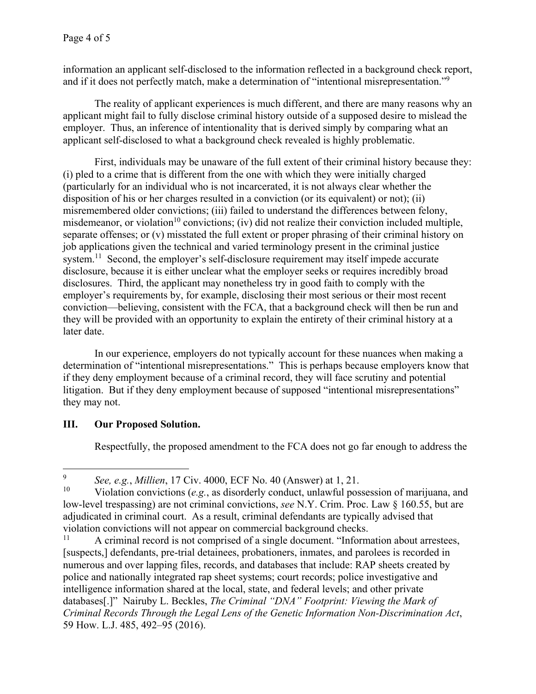information an applicant self-disclosed to the information reflected in a background check report, and if it does not perfectly match, make a determination of "intentional misrepresentation."<sup>9</sup>

The reality of applicant experiences is much different, and there are many reasons why an applicant might fail to fully disclose criminal history outside of a supposed desire to mislead the employer. Thus, an inference of intentionality that is derived simply by comparing what an applicant self-disclosed to what a background check revealed is highly problematic.

First, individuals may be unaware of the full extent of their criminal history because they: (i) pled to a crime that is different from the one with which they were initially charged (particularly for an individual who is not incarcerated, it is not always clear whether the disposition of his or her charges resulted in a conviction (or its equivalent) or not); (ii) misremembered older convictions; (iii) failed to understand the differences between felony, misdemeanor, or violation<sup>10</sup> convictions; (iv) did not realize their conviction included multiple, separate offenses; or (v) misstated the full extent or proper phrasing of their criminal history on job applications given the technical and varied terminology present in the criminal justice system.<sup>11</sup> Second, the employer's self-disclosure requirement may itself impede accurate disclosure, because it is either unclear what the employer seeks or requires incredibly broad disclosures. Third, the applicant may nonetheless try in good faith to comply with the employer's requirements by, for example, disclosing their most serious or their most recent conviction—believing, consistent with the FCA, that a background check will then be run and they will be provided with an opportunity to explain the entirety of their criminal history at a later date.

In our experience, employers do not typically account for these nuances when making a determination of "intentional misrepresentations." This is perhaps because employers know that if they deny employment because of a criminal record, they will face scrutiny and potential litigation. But if they deny employment because of supposed "intentional misrepresentations" they may not.

# **III. Our Proposed Solution.**

Respectfully, the proposed amendment to the FCA does not go far enough to address the

 $\overline{a}$ 9 <sup>9</sup> See, e.g., *Millien*, 17 Civ. 4000, ECF No. 40 (Answer) at 1, 21.

<sup>10</sup> Violation convictions (*e.g.*, as disorderly conduct, unlawful possession of marijuana, and low-level trespassing) are not criminal convictions, *see* N.Y. Crim. Proc. Law § 160.55, but are adjudicated in criminal court. As a result, criminal defendants are typically advised that violation convictions will not appear on commercial background checks.<br> $\frac{11}{2}$  A criminal record is not comprised of a single document "Inform

A criminal record is not comprised of a single document. "Information about arrestees, [suspects,] defendants, pre-trial detainees, probationers, inmates, and parolees is recorded in numerous and over lapping files, records, and databases that include: RAP sheets created by police and nationally integrated rap sheet systems; court records; police investigative and intelligence information shared at the local, state, and federal levels; and other private databases[.]" Nairuby L. Beckles, *The Criminal "DNA" Footprint: Viewing the Mark of Criminal Records Through the Legal Lens of the Genetic Information Non-Discrimination Act*, 59 How. L.J. 485, 492–95 (2016).